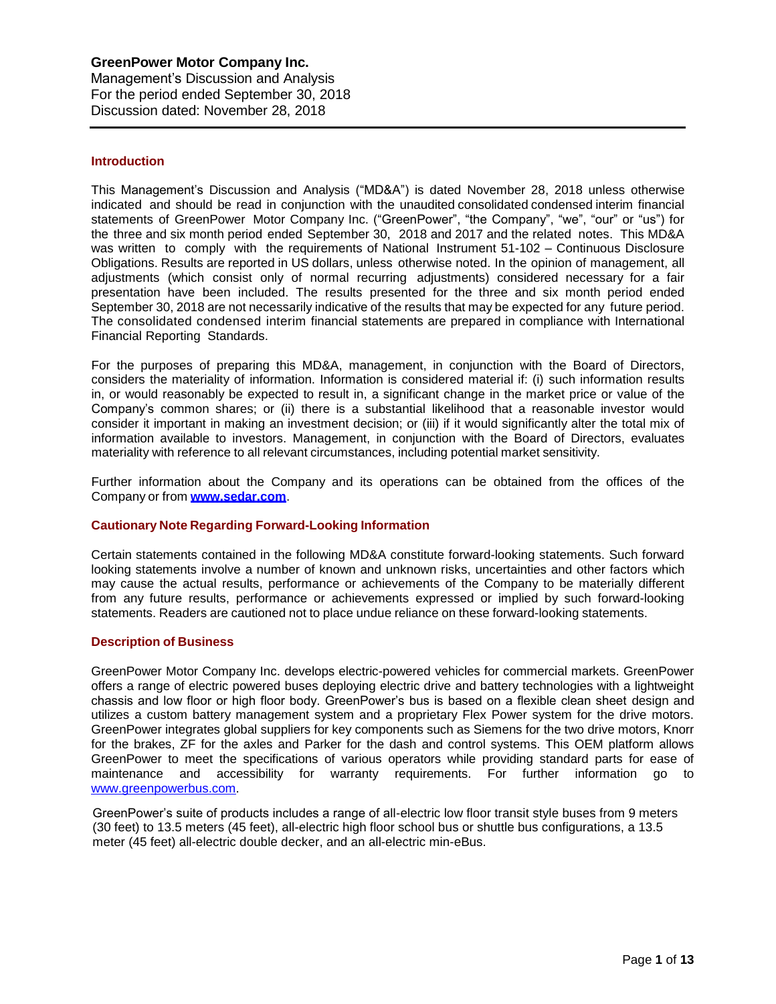# **Introduction**

This Management's Discussion and Analysis ("MD&A") is dated November 28, 2018 unless otherwise indicated and should be read in conjunction with the unaudited consolidated condensed interim financial statements of GreenPower Motor Company Inc. ("GreenPower", "the Company", "we", "our" or "us") for the three and six month period ended September 30, 2018 and 2017 and the related notes. This MD&A was written to comply with the requirements of National Instrument 51-102 – Continuous Disclosure Obligations. Results are reported in US dollars, unless otherwise noted. In the opinion of management, all adjustments (which consist only of normal recurring adjustments) considered necessary for a fair presentation have been included. The results presented for the three and six month period ended September 30, 2018 are not necessarily indicative of the results that may be expected for any future period. The consolidated condensed interim financial statements are prepared in compliance with International Financial Reporting Standards.

For the purposes of preparing this MD&A, management, in conjunction with the Board of Directors, considers the materiality of information. Information is considered material if: (i) such information results in, or would reasonably be expected to result in, a significant change in the market price or value of the Company's common shares; or (ii) there is a substantial likelihood that a reasonable investor would consider it important in making an investment decision; or (iii) if it would significantly alter the total mix of information available to investors. Management, in conjunction with the Board of Directors, evaluates materiality with reference to all relevant circumstances, including potential market sensitivity.

Further information about the Company and its operations can be obtained from the offices of the Company or from **[www.sedar.com](http://www.sedar.com/)**.

# **Cautionary Note Regarding Forward-Looking Information**

Certain statements contained in the following MD&A constitute forward-looking statements. Such forward looking statements involve a number of known and unknown risks, uncertainties and other factors which may cause the actual results, performance or achievements of the Company to be materially different from any future results, performance or achievements expressed or implied by such forward-looking statements. Readers are cautioned not to place undue reliance on these forward-looking statements.

#### **Description of Business**

GreenPower Motor Company Inc. develops electric-powered vehicles for commercial markets. GreenPower offers a range of electric powered buses deploying electric drive and battery technologies with a lightweight chassis and low floor or high floor body. GreenPower's bus is based on a flexible clean sheet design and utilizes a custom battery management system and a proprietary Flex Power system for the drive motors. GreenPower integrates global suppliers for key components such as Siemens for the two drive motors, Knorr for the brakes, ZF for the axles and Parker for the dash and control systems. This OEM platform allows GreenPower to meet the specifications of various operators while providing standard parts for ease of maintenance and accessibility for warranty requirements. For further information go to [www.greenpowerbus.com.](http://www.greenpowerbus.com/)

GreenPower's suite of products includes a range of all-electric low floor transit style buses from 9 meters (30 feet) to 13.5 meters (45 feet), all-electric high floor school bus or shuttle bus configurations, a 13.5 meter (45 feet) all-electric double decker, and an all-electric min-eBus.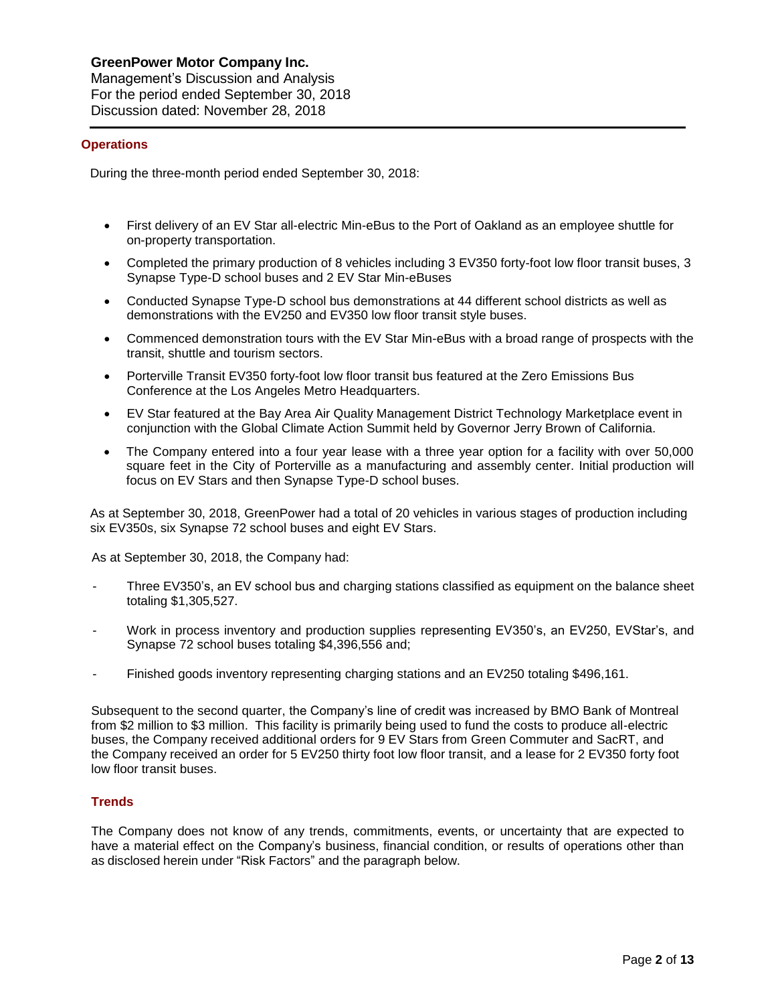#### **Operations**

During the three-month period ended September 30, 2018:

- First delivery of an EV Star all-electric Min-eBus to the Port of Oakland as an employee shuttle for on-property transportation.
- Completed the primary production of 8 vehicles including 3 EV350 forty-foot low floor transit buses, 3 Synapse Type-D school buses and 2 EV Star Min-eBuses
- Conducted Synapse Type-D school bus demonstrations at 44 different school districts as well as demonstrations with the EV250 and EV350 low floor transit style buses.
- Commenced demonstration tours with the EV Star Min-eBus with a broad range of prospects with the transit, shuttle and tourism sectors.
- Porterville Transit EV350 forty-foot low floor transit bus featured at the Zero Emissions Bus Conference at the Los Angeles Metro Headquarters.
- EV Star featured at the Bay Area Air Quality Management District Technology Marketplace event in conjunction with the Global Climate Action Summit held by Governor Jerry Brown of California.
- The Company entered into a four year lease with a three year option for a facility with over 50,000 square feet in the City of Porterville as a manufacturing and assembly center. Initial production will focus on EV Stars and then Synapse Type-D school buses.

As at September 30, 2018, GreenPower had a total of 20 vehicles in various stages of production including six EV350s, six Synapse 72 school buses and eight EV Stars.

As at September 30, 2018, the Company had:

- Three EV350's, an EV school bus and charging stations classified as equipment on the balance sheet totaling \$1,305,527.
- Work in process inventory and production supplies representing EV350's, an EV250, EVStar's, and Synapse 72 school buses totaling \$4,396,556 and;
- Finished goods inventory representing charging stations and an EV250 totaling \$496,161.

Subsequent to the second quarter, the Company's line of credit was increased by BMO Bank of Montreal from \$2 million to \$3 million. This facility is primarily being used to fund the costs to produce all-electric buses, the Company received additional orders for 9 EV Stars from Green Commuter and SacRT, and the Company received an order for 5 EV250 thirty foot low floor transit, and a lease for 2 EV350 forty foot low floor transit buses.

# **Trends**

The Company does not know of any trends, commitments, events, or uncertainty that are expected to have a material effect on the Company's business, financial condition, or results of operations other than as disclosed herein under "Risk Factors" and the paragraph below.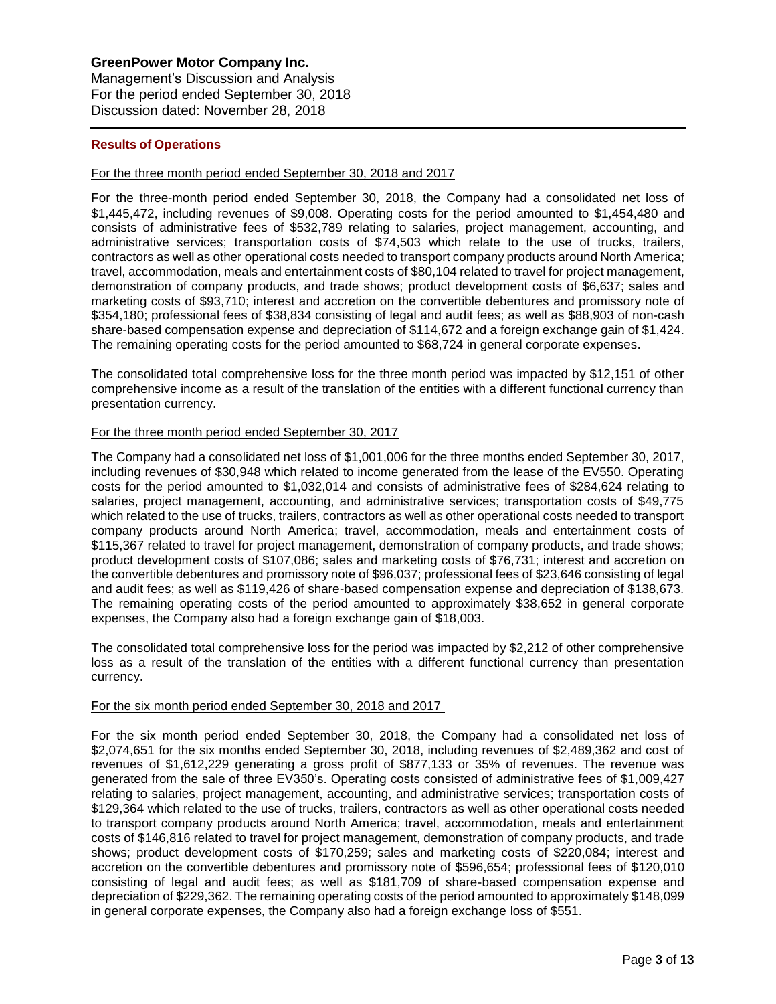# **Results of Operations**

### For the three month period ended September 30, 2018 and 2017

For the three-month period ended September 30, 2018, the Company had a consolidated net loss of \$1,445,472, including revenues of \$9,008. Operating costs for the period amounted to \$1,454,480 and consists of administrative fees of \$532,789 relating to salaries, project management, accounting, and administrative services; transportation costs of \$74,503 which relate to the use of trucks, trailers, contractors as well as other operational costs needed to transport company products around North America; travel, accommodation, meals and entertainment costs of \$80,104 related to travel for project management, demonstration of company products, and trade shows; product development costs of \$6,637; sales and marketing costs of \$93,710; interest and accretion on the convertible debentures and promissory note of \$354,180; professional fees of \$38,834 consisting of legal and audit fees; as well as \$88,903 of non-cash share-based compensation expense and depreciation of \$114,672 and a foreign exchange gain of \$1,424. The remaining operating costs for the period amounted to \$68,724 in general corporate expenses.

The consolidated total comprehensive loss for the three month period was impacted by \$12,151 of other comprehensive income as a result of the translation of the entities with a different functional currency than presentation currency.

### For the three month period ended September 30, 2017

The Company had a consolidated net loss of \$1,001,006 for the three months ended September 30, 2017, including revenues of \$30,948 which related to income generated from the lease of the EV550. Operating costs for the period amounted to \$1,032,014 and consists of administrative fees of \$284,624 relating to salaries, project management, accounting, and administrative services; transportation costs of \$49,775 which related to the use of trucks, trailers, contractors as well as other operational costs needed to transport company products around North America; travel, accommodation, meals and entertainment costs of \$115,367 related to travel for project management, demonstration of company products, and trade shows; product development costs of \$107,086; sales and marketing costs of \$76,731; interest and accretion on the convertible debentures and promissory note of \$96,037; professional fees of \$23,646 consisting of legal and audit fees; as well as \$119,426 of share-based compensation expense and depreciation of \$138,673. The remaining operating costs of the period amounted to approximately \$38,652 in general corporate expenses, the Company also had a foreign exchange gain of \$18,003.

The consolidated total comprehensive loss for the period was impacted by \$2,212 of other comprehensive loss as a result of the translation of the entities with a different functional currency than presentation currency.

#### For the six month period ended September 30, 2018 and 2017

For the six month period ended September 30, 2018, the Company had a consolidated net loss of \$2,074,651 for the six months ended September 30, 2018, including revenues of \$2,489,362 and cost of revenues of \$1,612,229 generating a gross profit of \$877,133 or 35% of revenues. The revenue was generated from the sale of three EV350's. Operating costs consisted of administrative fees of \$1,009,427 relating to salaries, project management, accounting, and administrative services; transportation costs of \$129,364 which related to the use of trucks, trailers, contractors as well as other operational costs needed to transport company products around North America; travel, accommodation, meals and entertainment costs of \$146,816 related to travel for project management, demonstration of company products, and trade shows; product development costs of \$170,259; sales and marketing costs of \$220,084; interest and accretion on the convertible debentures and promissory note of \$596,654; professional fees of \$120,010 consisting of legal and audit fees; as well as \$181,709 of share-based compensation expense and depreciation of \$229,362. The remaining operating costs of the period amounted to approximately \$148,099 in general corporate expenses, the Company also had a foreign exchange loss of \$551.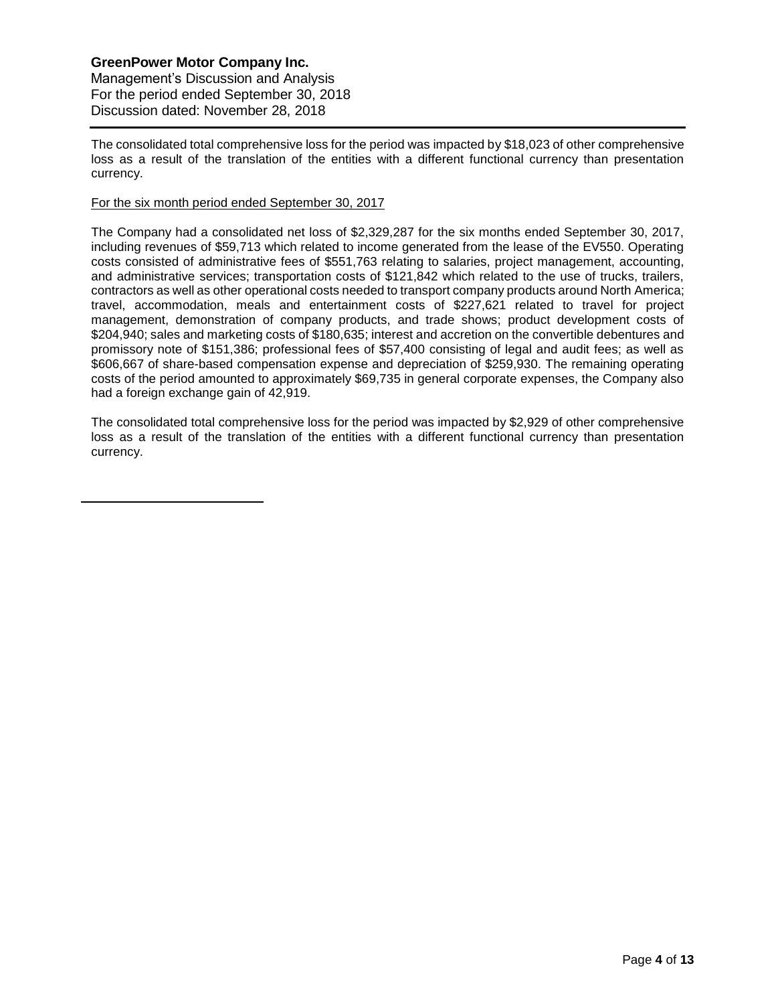Management's Discussion and Analysis For the period ended September 30, 2018 Discussion dated: November 28, 2018

The consolidated total comprehensive loss for the period was impacted by \$18,023 of other comprehensive loss as a result of the translation of the entities with a different functional currency than presentation currency.

# For the six month period ended September 30, 2017

The Company had a consolidated net loss of \$2,329,287 for the six months ended September 30, 2017, including revenues of \$59,713 which related to income generated from the lease of the EV550. Operating costs consisted of administrative fees of \$551,763 relating to salaries, project management, accounting, and administrative services; transportation costs of \$121,842 which related to the use of trucks, trailers, contractors as well as other operational costs needed to transport company products around North America; travel, accommodation, meals and entertainment costs of \$227,621 related to travel for project management, demonstration of company products, and trade shows; product development costs of \$204,940; sales and marketing costs of \$180,635; interest and accretion on the convertible debentures and promissory note of \$151,386; professional fees of \$57,400 consisting of legal and audit fees; as well as \$606,667 of share-based compensation expense and depreciation of \$259,930. The remaining operating costs of the period amounted to approximately \$69,735 in general corporate expenses, the Company also had a foreign exchange gain of 42,919.

The consolidated total comprehensive loss for the period was impacted by \$2,929 of other comprehensive loss as a result of the translation of the entities with a different functional currency than presentation currency.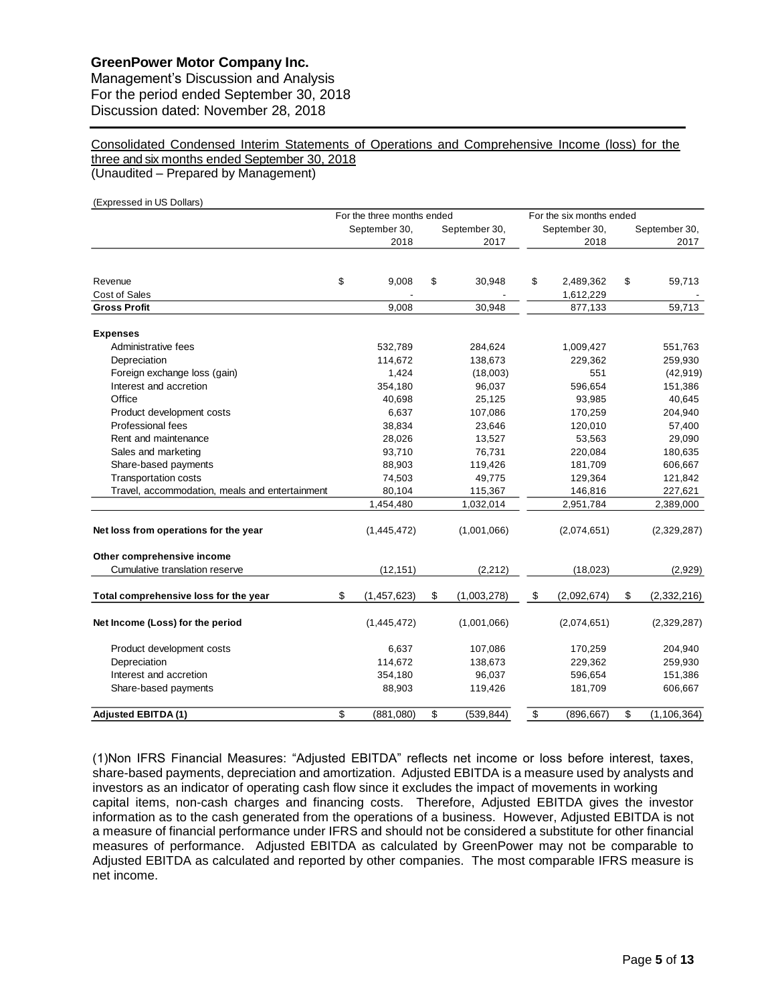Management's Discussion and Analysis For the period ended September 30, 2018 Discussion dated: November 28, 2018

Consolidated Condensed Interim Statements of Operations and Comprehensive Income (loss) for the three and six months ended September 30, 2018 (Unaudited – Prepared by Management)

(Expressed in US Dollars) For the three months ended For the six months ended September 30, September 30, September 30, September 30, 2018 2017 2018 2017 Revenue \$ 9,008 \$ 30,948 \$ 2,489,362 \$ 59,713 Cost of Sales - - 1,612,229 - **Gross Profit** 9,008 30,948 877,133 59,713 **Expenses** Administrative fees 651,763 651,763 532,789 551,763 284,624 551,763 Depreciation 114,672 138,673 229,362 259,930 Foreign exchange loss (gain)  $1,424$  (18,003) 551 (42,919) (42,919) Interest and accretion 354,180 96,037 596,654 151,386 Office 40,698 25,125 93,985 40,645 Product development costs and the costs and the costs of 6,637 107,086 170,259 204,940 Professional fees 38,834 23,646 120,010 57,400 Rent and maintenance 28,026 13,527 53,563 29,090 Sales and marketing and the state of the state of the state of the state of the state of the state of the state of the state of the state of the state of the state of the state of the state of the state of the state of the Share-based payments 606,667 **119,426** 119,426 181,709 606,667 Transportation costs 74,503 49,775 129,364 121,842 Travel, accommodation, meals and entertainment 80,104 115,367 146,816 227,621 1,454,480 1,032,014 2,951,784 2,389,000 **Net loss from operations for the year** (1,445,472) (1,445,472) (1,001,066) (2,074,651) (2,329,287) **Other comprehensive income** Cumulative translation reserve (12,151) (2,212) (18,023) (2,929) **Total comprehensive loss for the year** \$ (1,457,623) \$ (1,003,278) \$ (2,092,674) \$ (2,332,216) **Net Income (Loss) for the period** (1,445,472) (1,001,066) (2,074,651) (2,329,287) Product development costs and the set of the costs and the costs of the costs of the costs and the costs of the costs and the costs of the costs of the costs of the costs of the costs of the costs of the costs of the costs Depreciation 114,672 138,673 229,362 259,930 Interest and accretion 354,180 96,037 596,654 151,386 Share-based payments **88,903** 119,426 181,709 606,667 **Adjusted EBITDA (1)** \$ (881,080) \$ (539,844) \$ (896,667) \$ (1,106,364)

(1)Non IFRS Financial Measures: "Adjusted EBITDA" reflects net income or loss before interest, taxes, share-based payments, depreciation and amortization. Adjusted EBITDA is a measure used by analysts and investors as an indicator of operating cash flow since it excludes the impact of movements in working capital items, non-cash charges and financing costs. Therefore, Adjusted EBITDA gives the investor information as to the cash generated from the operations of a business. However, Adjusted EBITDA is not a measure of financial performance under IFRS and should not be considered a substitute for other financial measures of performance. Adjusted EBITDA as calculated by GreenPower may not be comparable to Adjusted EBITDA as calculated and reported by other companies. The most comparable IFRS measure is net income.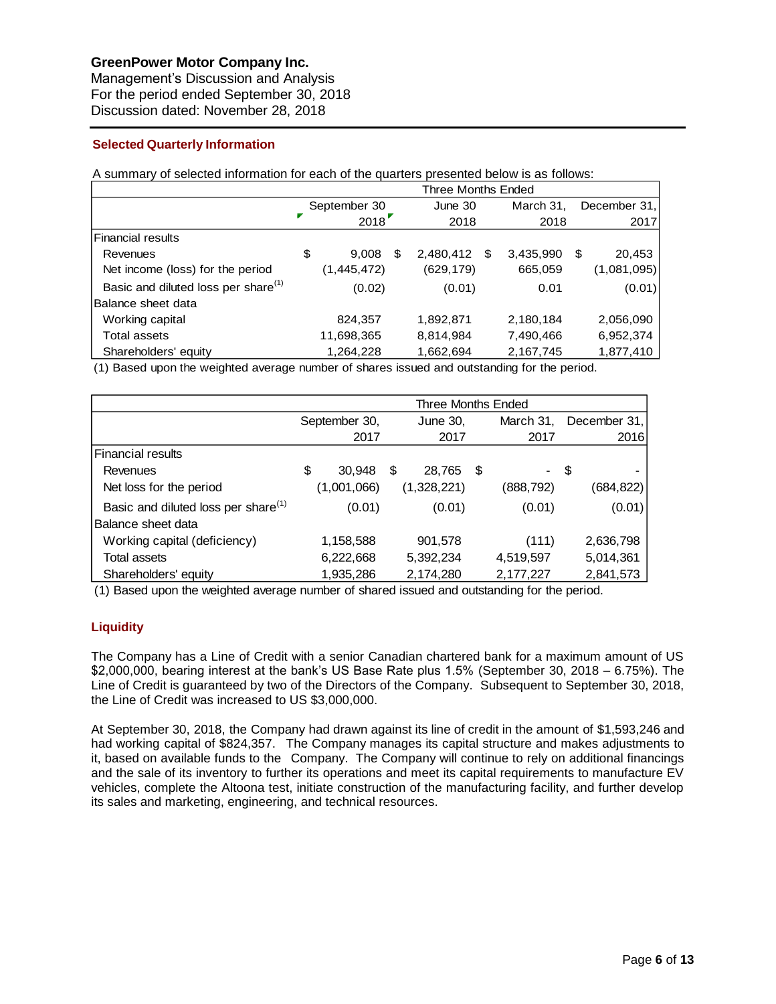Management's Discussion and Analysis For the period ended September 30, 2018 Discussion dated: November 28, 2018

# **Selected Quarterly Information**

A summary of selected information for each of the quarters presented below is as follows:

|                                                 | <b>Three Months Ended</b> |              |    |              |  |           |    |              |
|-------------------------------------------------|---------------------------|--------------|----|--------------|--|-----------|----|--------------|
|                                                 |                           | September 30 |    | June 30      |  | March 31, |    | December 31, |
|                                                 |                           | 2018         |    | 2018         |  | 2018      |    | 2017         |
| Financial results                               |                           |              |    |              |  |           |    |              |
| Revenues                                        | \$                        | 9,008        | \$ | 2,480,412 \$ |  | 3,435,990 | S. | 20,453       |
| Net income (loss) for the period                |                           | (1,445,472)  |    | (629, 179)   |  | 665,059   |    | (1,081,095)  |
| Basic and diluted loss per share <sup>(1)</sup> |                           | (0.02)       |    | (0.01)       |  | 0.01      |    | (0.01)       |
| Balance sheet data                              |                           |              |    |              |  |           |    |              |
| Working capital                                 |                           | 824,357      |    | 1,892,871    |  | 2,180,184 |    | 2,056,090    |
| Total assets                                    |                           | 11,698,365   |    | 8,814,984    |  | 7,490,466 |    | 6,952,374    |
| Shareholders' equity                            |                           | 1,264,228    |    | 1,662,694    |  | 2,167,745 |    | 1,877,410    |

(1) Based upon the weighted average number of shares issued and outstanding for the period.

|                                                 | Three Months Ended |               |   |             |      |            |              |
|-------------------------------------------------|--------------------|---------------|---|-------------|------|------------|--------------|
|                                                 |                    | September 30, |   | June 30,    |      | March 31,  | December 31, |
|                                                 |                    | 2017          |   | 2017        |      | 2017       | 2016         |
| <b>Financial results</b>                        |                    |               |   |             |      |            |              |
| Revenues                                        | \$                 | 30,948        | S | 28.765      | - \$ | - \$       |              |
| Net loss for the period                         |                    | (1,001,066)   |   | (1,328,221) |      | (888, 792) | (684, 822)   |
| Basic and diluted loss per share <sup>(1)</sup> |                    | (0.01)        |   | (0.01)      |      | (0.01)     | (0.01)       |
| Balance sheet data                              |                    |               |   |             |      |            |              |
| Working capital (deficiency)                    |                    | 1,158,588     |   | 901,578     |      | (111)      | 2,636,798    |
| Total assets                                    |                    | 6,222,668     |   | 5,392,234   |      | 4,519,597  | 5,014,361    |
| Shareholders' equity                            |                    | 1,935,286     |   | 2,174,280   |      | 2,177,227  | 2,841,573    |

(1) Based upon the weighted average number of shared issued and outstanding for the period.

# **Liquidity**

The Company has a Line of Credit with a senior Canadian chartered bank for a maximum amount of US \$2,000,000, bearing interest at the bank's US Base Rate plus 1.5% (September 30, 2018 – 6.75%). The Line of Credit is guaranteed by two of the Directors of the Company. Subsequent to September 30, 2018, the Line of Credit was increased to US \$3,000,000.

At September 30, 2018, the Company had drawn against its line of credit in the amount of \$1,593,246 and had working capital of \$824,357. The Company manages its capital structure and makes adjustments to it, based on available funds to the Company. The Company will continue to rely on additional financings and the sale of its inventory to further its operations and meet its capital requirements to manufacture EV vehicles, complete the Altoona test, initiate construction of the manufacturing facility, and further develop its sales and marketing, engineering, and technical resources.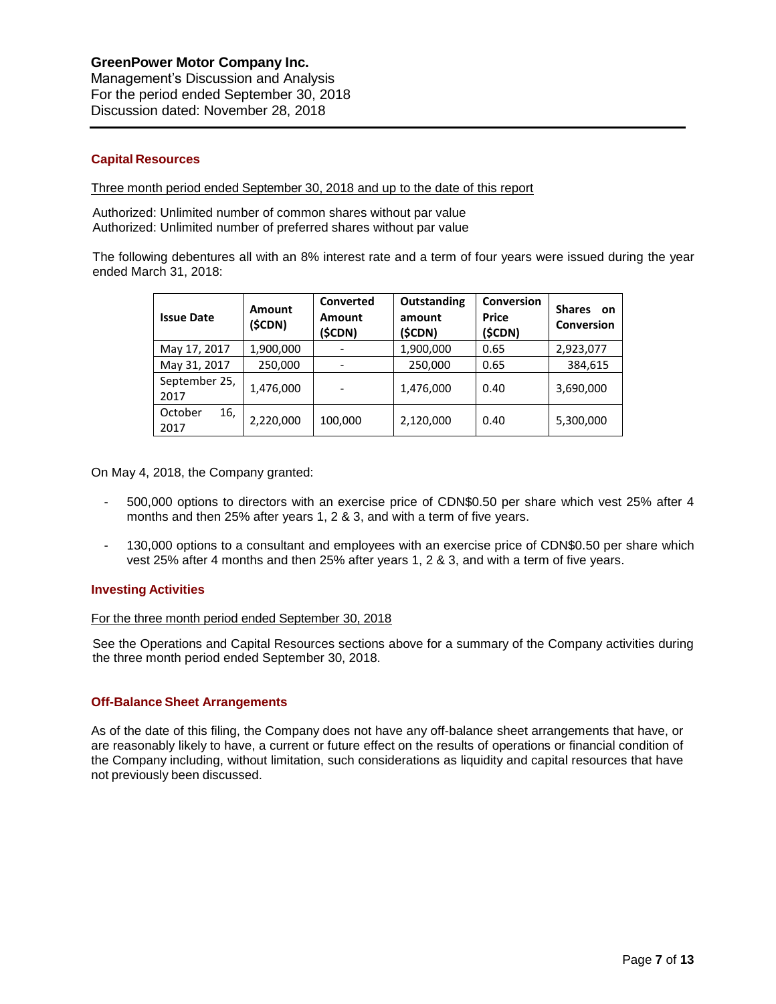# **Capital Resources**

Three month period ended September 30, 2018 and up to the date of this report

Authorized: Unlimited number of common shares without par value Authorized: Unlimited number of preferred shares without par value

The following debentures all with an 8% interest rate and a term of four years were issued during the year ended March 31, 2018:

| <b>Issue Date</b>      | Amount<br>(\$CDN) | Converted<br><b>Amount</b><br>(\$CDN) | Outstanding<br>amount<br>(\$CDN) | Conversion<br><b>Price</b><br>(\$CDN) | <b>Shares</b><br>on<br><b>Conversion</b> |
|------------------------|-------------------|---------------------------------------|----------------------------------|---------------------------------------|------------------------------------------|
| May 17, 2017           | 1,900,000         |                                       | 1,900,000                        | 0.65                                  | 2,923,077                                |
| May 31, 2017           | 250,000           |                                       | 250,000                          | 0.65                                  | 384,615                                  |
| September 25,<br>2017  | 1,476,000         |                                       | 1,476,000                        | 0.40                                  | 3,690,000                                |
| October<br>16,<br>2017 | 2,220,000         | 100,000                               | 2,120,000                        | 0.40                                  | 5,300,000                                |

On May 4, 2018, the Company granted:

- 500,000 options to directors with an exercise price of CDN\$0.50 per share which vest 25% after 4 months and then 25% after years 1, 2 & 3, and with a term of five years.
- 130,000 options to a consultant and employees with an exercise price of CDN\$0.50 per share which vest 25% after 4 months and then 25% after years 1, 2 & 3, and with a term of five years.

# **Investing Activities**

#### For the three month period ended September 30, 2018

See the Operations and Capital Resources sections above for a summary of the Company activities during the three month period ended September 30, 2018.

# **Off-Balance Sheet Arrangements**

As of the date of this filing, the Company does not have any off-balance sheet arrangements that have, or are reasonably likely to have, a current or future effect on the results of operations or financial condition of the Company including, without limitation, such considerations as liquidity and capital resources that have not previously been discussed.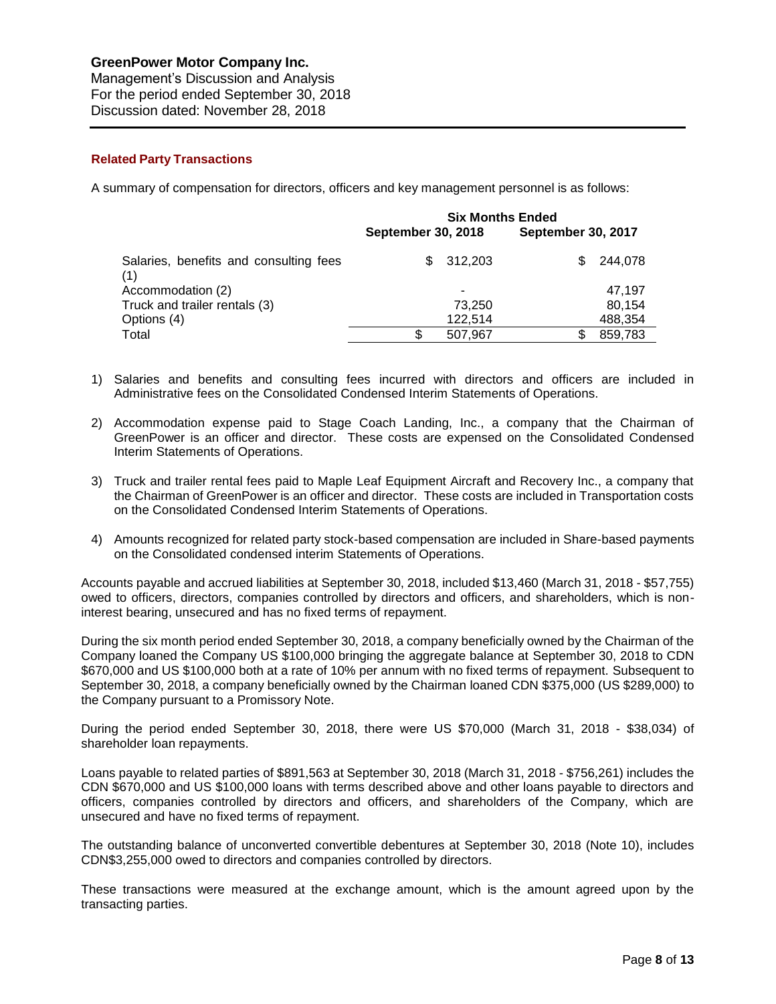Management's Discussion and Analysis For the period ended September 30, 2018 Discussion dated: November 28, 2018

# **Related Party Transactions**

A summary of compensation for directors, officers and key management personnel is as follows:

|                                               | <b>Six Months Ended</b>   |         |                           |         |  |
|-----------------------------------------------|---------------------------|---------|---------------------------|---------|--|
|                                               | <b>September 30, 2018</b> |         | <b>September 30, 2017</b> |         |  |
| Salaries, benefits and consulting fees<br>(1) | \$.                       | 312,203 | S                         | 244,078 |  |
| Accommodation (2)                             |                           |         |                           | 47,197  |  |
| Truck and trailer rentals (3)                 |                           | 73,250  |                           | 80.154  |  |
| Options (4)                                   |                           | 122.514 |                           | 488,354 |  |
| Total                                         | S                         | 507.967 | S                         | 859,783 |  |

- 1) Salaries and benefits and consulting fees incurred with directors and officers are included in Administrative fees on the Consolidated Condensed Interim Statements of Operations.
- 2) Accommodation expense paid to Stage Coach Landing, Inc., a company that the Chairman of GreenPower is an officer and director. These costs are expensed on the Consolidated Condensed Interim Statements of Operations.
- 3) Truck and trailer rental fees paid to Maple Leaf Equipment Aircraft and Recovery Inc., a company that the Chairman of GreenPower is an officer and director. These costs are included in Transportation costs on the Consolidated Condensed Interim Statements of Operations.
- 4) Amounts recognized for related party stock-based compensation are included in Share-based payments on the Consolidated condensed interim Statements of Operations.

Accounts payable and accrued liabilities at September 30, 2018, included \$13,460 (March 31, 2018 - \$57,755) owed to officers, directors, companies controlled by directors and officers, and shareholders, which is noninterest bearing, unsecured and has no fixed terms of repayment.

During the six month period ended September 30, 2018, a company beneficially owned by the Chairman of the Company loaned the Company US \$100,000 bringing the aggregate balance at September 30, 2018 to CDN \$670,000 and US \$100,000 both at a rate of 10% per annum with no fixed terms of repayment. Subsequent to September 30, 2018, a company beneficially owned by the Chairman loaned CDN \$375,000 (US \$289,000) to the Company pursuant to a Promissory Note.

During the period ended September 30, 2018, there were US \$70,000 (March 31, 2018 - \$38,034) of shareholder loan repayments.

Loans payable to related parties of \$891,563 at September 30, 2018 (March 31, 2018 - \$756,261) includes the CDN \$670,000 and US \$100,000 loans with terms described above and other loans payable to directors and officers, companies controlled by directors and officers, and shareholders of the Company, which are unsecured and have no fixed terms of repayment.

The outstanding balance of unconverted convertible debentures at September 30, 2018 (Note 10), includes CDN\$3,255,000 owed to directors and companies controlled by directors.

These transactions were measured at the exchange amount, which is the amount agreed upon by the transacting parties.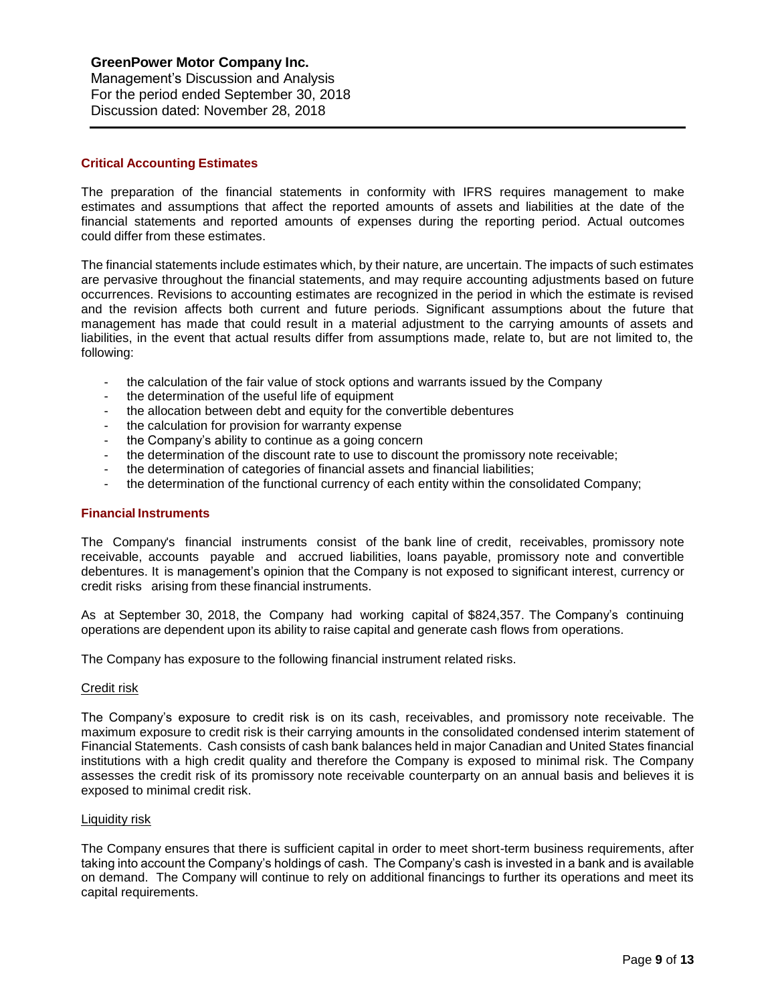### **Critical Accounting Estimates**

The preparation of the financial statements in conformity with IFRS requires management to make estimates and assumptions that affect the reported amounts of assets and liabilities at the date of the financial statements and reported amounts of expenses during the reporting period. Actual outcomes could differ from these estimates.

The financial statements include estimates which, by their nature, are uncertain. The impacts of such estimates are pervasive throughout the financial statements, and may require accounting adjustments based on future occurrences. Revisions to accounting estimates are recognized in the period in which the estimate is revised and the revision affects both current and future periods. Significant assumptions about the future that management has made that could result in a material adjustment to the carrying amounts of assets and liabilities, in the event that actual results differ from assumptions made, relate to, but are not limited to, the following:

- the calculation of the fair value of stock options and warrants issued by the Company
- the determination of the useful life of equipment
- the allocation between debt and equity for the convertible debentures
- the calculation for provision for warranty expense
- the Company's ability to continue as a going concern
- the determination of the discount rate to use to discount the promissory note receivable;
- the determination of categories of financial assets and financial liabilities;
- the determination of the functional currency of each entity within the consolidated Company;

#### **Financial Instruments**

The Company's financial instruments consist of the bank line of credit, receivables, promissory note receivable, accounts payable and accrued liabilities, loans payable, promissory note and convertible debentures. It is management's opinion that the Company is not exposed to significant interest, currency or credit risks arising from these financial instruments.

As at September 30, 2018, the Company had working capital of \$824,357. The Company's continuing operations are dependent upon its ability to raise capital and generate cash flows from operations.

The Company has exposure to the following financial instrument related risks.

#### Credit risk

The Company's exposure to credit risk is on its cash, receivables, and promissory note receivable. The maximum exposure to credit risk is their carrying amounts in the consolidated condensed interim statement of Financial Statements. Cash consists of cash bank balances held in major Canadian and United States financial institutions with a high credit quality and therefore the Company is exposed to minimal risk. The Company assesses the credit risk of its promissory note receivable counterparty on an annual basis and believes it is exposed to minimal credit risk.

#### Liquidity risk

The Company ensures that there is sufficient capital in order to meet short-term business requirements, after taking into account the Company's holdings of cash. The Company's cash is invested in a bank and is available on demand. The Company will continue to rely on additional financings to further its operations and meet its capital requirements.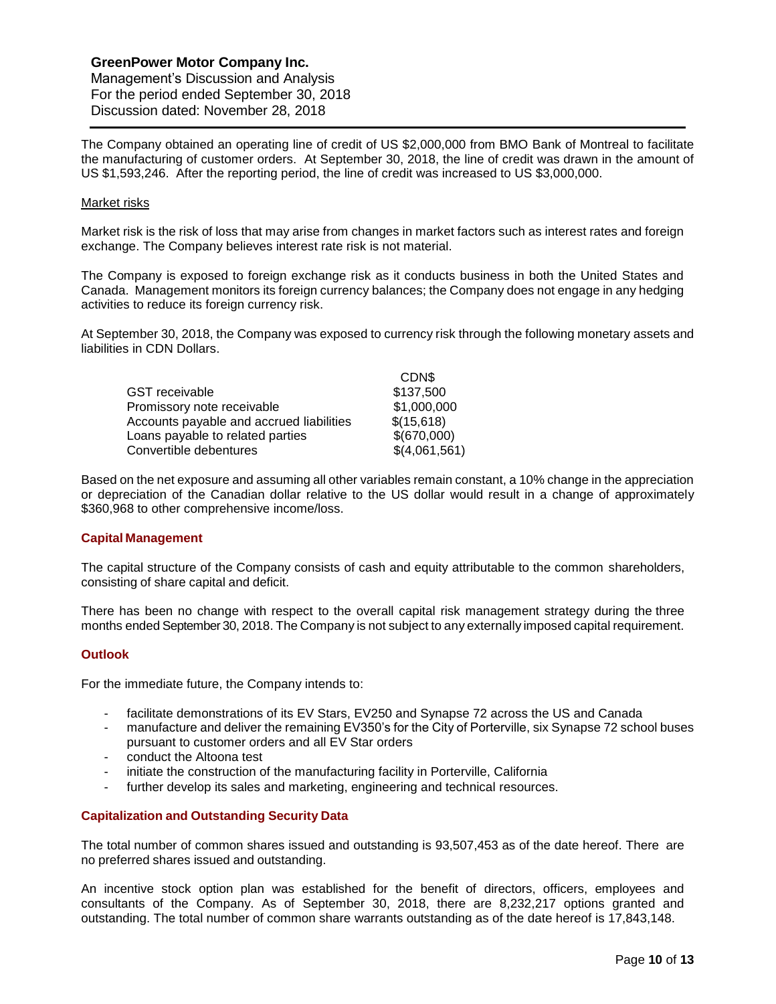Management's Discussion and Analysis For the period ended September 30, 2018 Discussion dated: November 28, 2018

The Company obtained an operating line of credit of US \$2,000,000 from BMO Bank of Montreal to facilitate the manufacturing of customer orders. At September 30, 2018, the line of credit was drawn in the amount of US \$1,593,246. After the reporting period, the line of credit was increased to US \$3,000,000.

### Market risks

Market risk is the risk of loss that may arise from changes in market factors such as interest rates and foreign exchange. The Company believes interest rate risk is not material.

The Company is exposed to foreign exchange risk as it conducts business in both the United States and Canada. Management monitors its foreign currency balances; the Company does not engage in any hedging activities to reduce its foreign currency risk.

At September 30, 2018, the Company was exposed to currency risk through the following monetary assets and liabilities in CDN Dollars.

|                                          | CDN\$         |
|------------------------------------------|---------------|
| GST receivable                           | \$137,500     |
| Promissory note receivable               | \$1,000,000   |
| Accounts payable and accrued liabilities | \$(15,618)    |
| Loans payable to related parties         | \$(670,000)   |
| Convertible debentures                   | \$(4,061,561) |

Based on the net exposure and assuming all other variables remain constant, a 10% change in the appreciation or depreciation of the Canadian dollar relative to the US dollar would result in a change of approximately \$360,968 to other comprehensive income/loss.

# **Capital Management**

The capital structure of the Company consists of cash and equity attributable to the common shareholders, consisting of share capital and deficit.

There has been no change with respect to the overall capital risk management strategy during the three months ended September 30, 2018. The Company is not subject to any externally imposed capital requirement.

# **Outlook**

For the immediate future, the Company intends to:

- facilitate demonstrations of its EV Stars, EV250 and Synapse 72 across the US and Canada
- manufacture and deliver the remaining EV350's for the City of Porterville, six Synapse 72 school buses pursuant to customer orders and all EV Star orders
- conduct the Altoona test
- initiate the construction of the manufacturing facility in Porterville, California
- further develop its sales and marketing, engineering and technical resources.

# **Capitalization and Outstanding Security Data**

The total number of common shares issued and outstanding is 93,507,453 as of the date hereof. There are no preferred shares issued and outstanding.

An incentive stock option plan was established for the benefit of directors, officers, employees and consultants of the Company. As of September 30, 2018, there are 8,232,217 options granted and outstanding. The total number of common share warrants outstanding as of the date hereof is 17,843,148.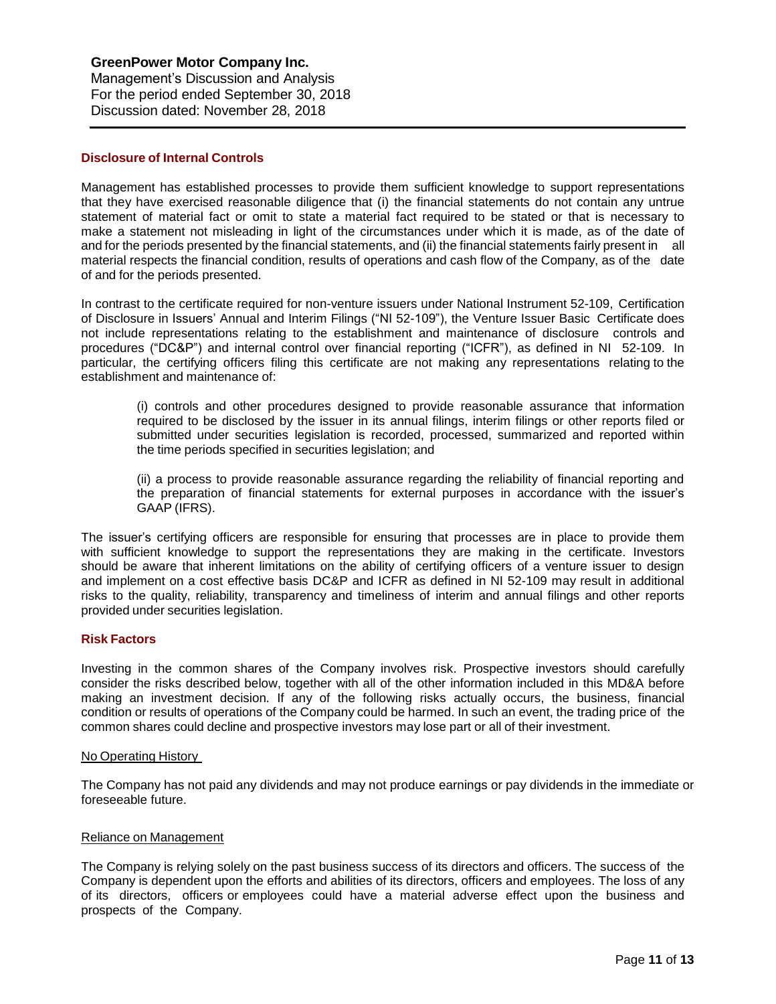### **Disclosure of Internal Controls**

Management has established processes to provide them sufficient knowledge to support representations that they have exercised reasonable diligence that (i) the financial statements do not contain any untrue statement of material fact or omit to state a material fact required to be stated or that is necessary to make a statement not misleading in light of the circumstances under which it is made, as of the date of and for the periods presented by the financial statements, and (ii) the financial statements fairly present in all material respects the financial condition, results of operations and cash flow of the Company, as of the date of and for the periods presented.

In contrast to the certificate required for non-venture issuers under National Instrument 52-109, Certification of Disclosure in Issuers' Annual and Interim Filings ("NI 52-109"), the Venture Issuer Basic Certificate does not include representations relating to the establishment and maintenance of disclosure controls and procedures ("DC&P") and internal control over financial reporting ("ICFR"), as defined in NI 52-109. In particular, the certifying officers filing this certificate are not making any representations relating to the establishment and maintenance of:

(i) controls and other procedures designed to provide reasonable assurance that information required to be disclosed by the issuer in its annual filings, interim filings or other reports filed or submitted under securities legislation is recorded, processed, summarized and reported within the time periods specified in securities legislation; and

(ii) a process to provide reasonable assurance regarding the reliability of financial reporting and the preparation of financial statements for external purposes in accordance with the issuer's GAAP (IFRS).

The issuer's certifying officers are responsible for ensuring that processes are in place to provide them with sufficient knowledge to support the representations they are making in the certificate. Investors should be aware that inherent limitations on the ability of certifying officers of a venture issuer to design and implement on a cost effective basis DC&P and ICFR as defined in NI 52-109 may result in additional risks to the quality, reliability, transparency and timeliness of interim and annual filings and other reports provided under securities legislation.

# **Risk Factors**

Investing in the common shares of the Company involves risk. Prospective investors should carefully consider the risks described below, together with all of the other information included in this MD&A before making an investment decision. If any of the following risks actually occurs, the business, financial condition or results of operations of the Company could be harmed. In such an event, the trading price of the common shares could decline and prospective investors may lose part or all of their investment.

#### No Operating History

The Company has not paid any dividends and may not produce earnings or pay dividends in the immediate or foreseeable future.

#### Reliance on Management

The Company is relying solely on the past business success of its directors and officers. The success of the Company is dependent upon the efforts and abilities of its directors, officers and employees. The loss of any of its directors, officers or employees could have a material adverse effect upon the business and prospects of the Company.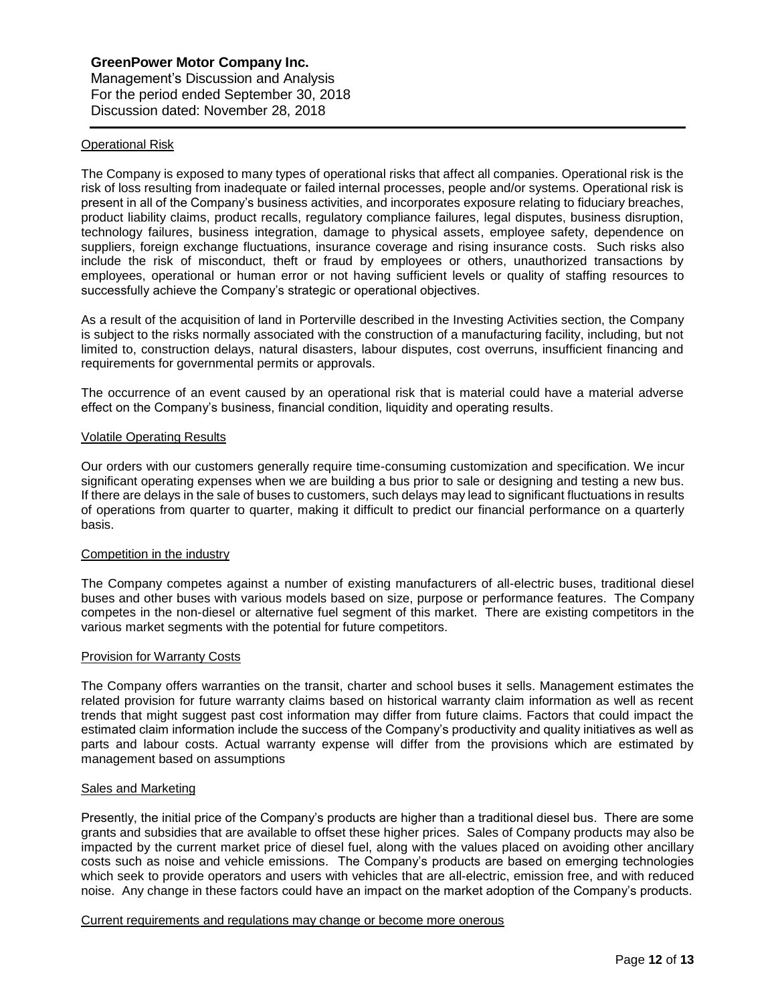### Operational Risk

The Company is exposed to many types of operational risks that affect all companies. Operational risk is the risk of loss resulting from inadequate or failed internal processes, people and/or systems. Operational risk is present in all of the Company's business activities, and incorporates exposure relating to fiduciary breaches, product liability claims, product recalls, regulatory compliance failures, legal disputes, business disruption, technology failures, business integration, damage to physical assets, employee safety, dependence on suppliers, foreign exchange fluctuations, insurance coverage and rising insurance costs. Such risks also include the risk of misconduct, theft or fraud by employees or others, unauthorized transactions by employees, operational or human error or not having sufficient levels or quality of staffing resources to successfully achieve the Company's strategic or operational objectives.

As a result of the acquisition of land in Porterville described in the Investing Activities section, the Company is subject to the risks normally associated with the construction of a manufacturing facility, including, but not limited to, construction delays, natural disasters, labour disputes, cost overruns, insufficient financing and requirements for governmental permits or approvals.

The occurrence of an event caused by an operational risk that is material could have a material adverse effect on the Company's business, financial condition, liquidity and operating results.

### Volatile Operating Results

Our orders with our customers generally require time-consuming customization and specification. We incur significant operating expenses when we are building a bus prior to sale or designing and testing a new bus. If there are delays in the sale of buses to customers, such delays may lead to significant fluctuations in results of operations from quarter to quarter, making it difficult to predict our financial performance on a quarterly basis.

#### Competition in the industry

The Company competes against a number of existing manufacturers of all-electric buses, traditional diesel buses and other buses with various models based on size, purpose or performance features. The Company competes in the non-diesel or alternative fuel segment of this market. There are existing competitors in the various market segments with the potential for future competitors.

#### Provision for Warranty Costs

The Company offers warranties on the transit, charter and school buses it sells. Management estimates the related provision for future warranty claims based on historical warranty claim information as well as recent trends that might suggest past cost information may differ from future claims. Factors that could impact the estimated claim information include the success of the Company's productivity and quality initiatives as well as parts and labour costs. Actual warranty expense will differ from the provisions which are estimated by management based on assumptions

#### Sales and Marketing

Presently, the initial price of the Company's products are higher than a traditional diesel bus. There are some grants and subsidies that are available to offset these higher prices. Sales of Company products may also be impacted by the current market price of diesel fuel, along with the values placed on avoiding other ancillary costs such as noise and vehicle emissions. The Company's products are based on emerging technologies which seek to provide operators and users with vehicles that are all-electric, emission free, and with reduced noise. Any change in these factors could have an impact on the market adoption of the Company's products.

### Current requirements and regulations may change or become more onerous